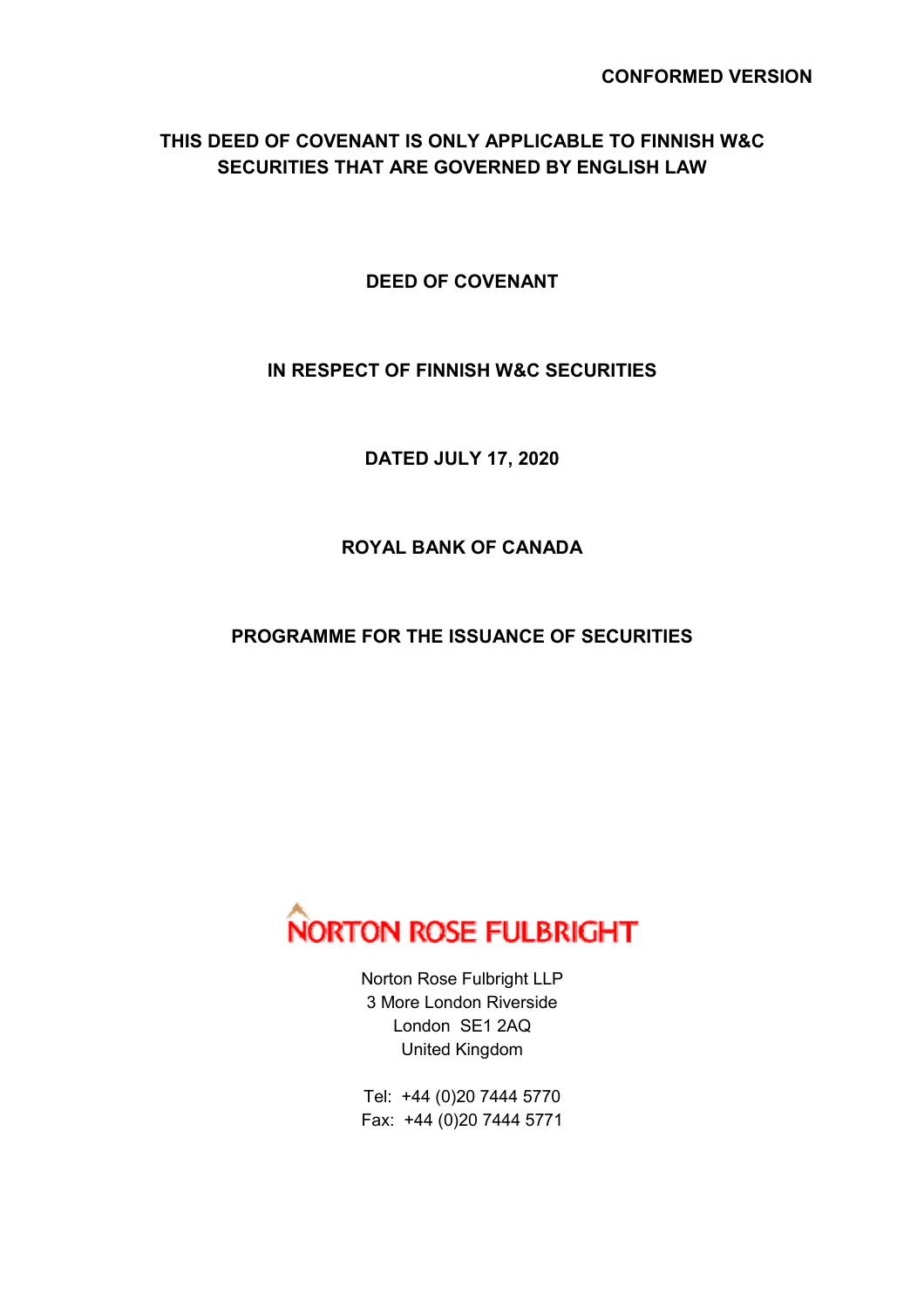## **THIS DEED OF COVENANT IS ONLY APPLICABLE TO FINNISH W&C SECURITIES THAT ARE GOVERNED BY ENGLISH LAW**

**DEED OF COVENANT** 

## **IN RESPECT OF FINNISH W&C SECURITIES**

**DATED JULY 17, 2020** 

# **ROYAL BANK OF CANADA**

## **PROGRAMME FOR THE ISSUANCE OF SECURITIES**



Norton Rose Fulbright LLP 3 More London Riverside London SE1 2AQ United Kingdom

Tel: +44 (0)20 7444 5770 Fax: +44 (0)20 7444 5771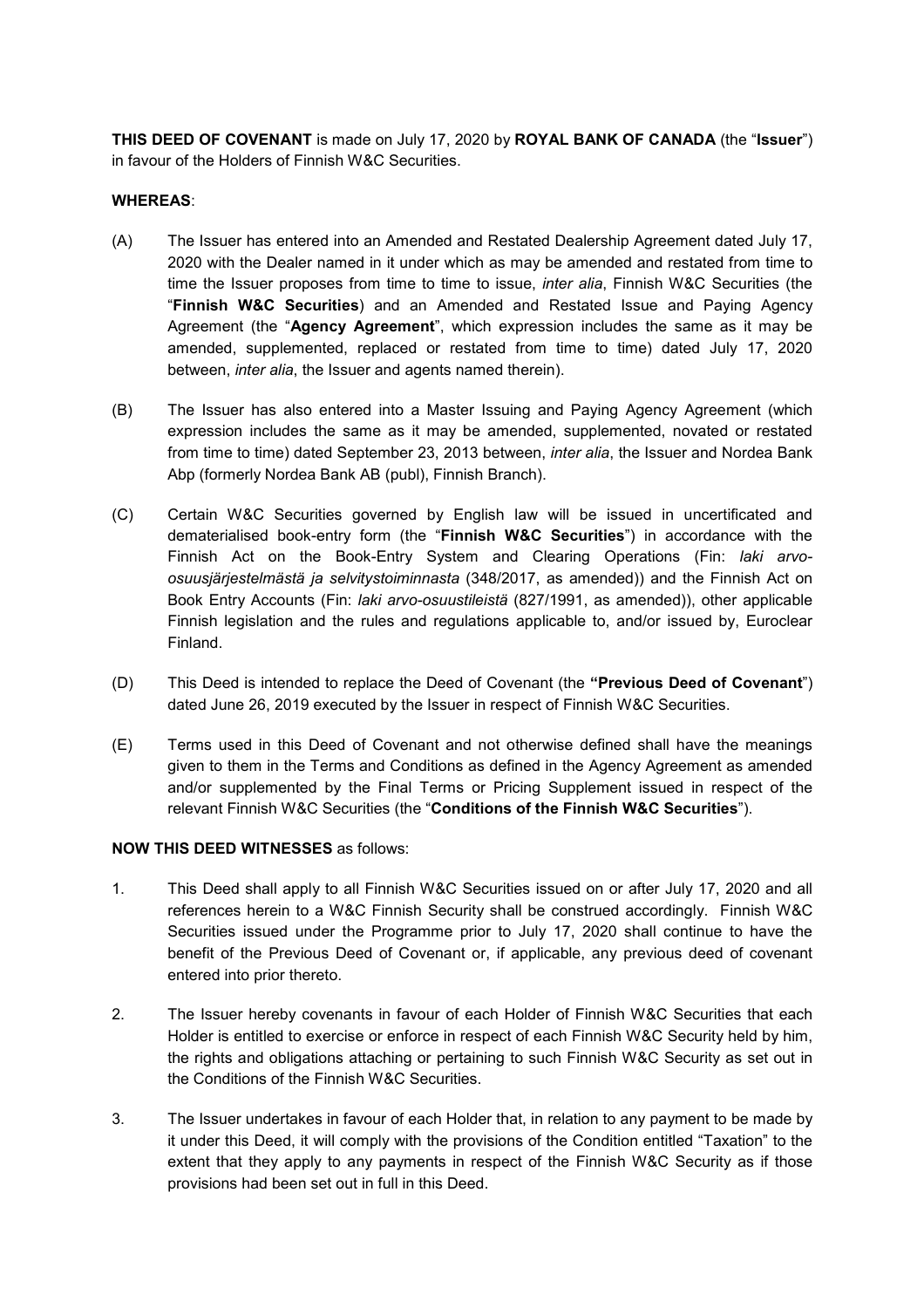**THIS DEED OF COVENANT** is made on July 17, 2020 by **ROYAL BANK OF CANADA** (the "**Issuer**") in favour of the Holders of Finnish W&C Securities.

#### **WHEREAS**:

- (A) The Issuer has entered into an Amended and Restated Dealership Agreement dated July 17, 2020 with the Dealer named in it under which as may be amended and restated from time to time the Issuer proposes from time to time to issue, *inter alia*, Finnish W&C Securities (the "**Finnish W&C Securities**) and an Amended and Restated Issue and Paying Agency Agreement (the "**Agency Agreement**", which expression includes the same as it may be amended, supplemented, replaced or restated from time to time) dated July 17, 2020 between, *inter alia*, the Issuer and agents named therein).
- (B) The Issuer has also entered into a Master Issuing and Paying Agency Agreement (which expression includes the same as it may be amended, supplemented, novated or restated from time to time) dated September 23, 2013 between, *inter alia*, the Issuer and Nordea Bank Abp (formerly Nordea Bank AB (publ), Finnish Branch).
- (C) Certain W&C Securities governed by English law will be issued in uncertificated and dematerialised book-entry form (the "**Finnish W&C Securities**") in accordance with the Finnish Act on the Book-Entry System and Clearing Operations (Fin: *laki arvoosuusjärjestelmästä ja selvitystoiminnasta* (348/2017, as amended)) and the Finnish Act on Book Entry Accounts (Fin: *laki arvo-osuustileistä* (827/1991, as amended)), other applicable Finnish legislation and the rules and regulations applicable to, and/or issued by, Euroclear Finland.
- (D) This Deed is intended to replace the Deed of Covenant (the **"Previous Deed of Covenant**") dated June 26, 2019 executed by the Issuer in respect of Finnish W&C Securities.
- (E) Terms used in this Deed of Covenant and not otherwise defined shall have the meanings given to them in the Terms and Conditions as defined in the Agency Agreement as amended and/or supplemented by the Final Terms or Pricing Supplement issued in respect of the relevant Finnish W&C Securities (the "**Conditions of the Finnish W&C Securities**").

#### **NOW THIS DEED WITNESSES** as follows:

- 1. This Deed shall apply to all Finnish W&C Securities issued on or after July 17, 2020 and all references herein to a W&C Finnish Security shall be construed accordingly. Finnish W&C Securities issued under the Programme prior to July 17, 2020 shall continue to have the benefit of the Previous Deed of Covenant or, if applicable, any previous deed of covenant entered into prior thereto.
- 2. The Issuer hereby covenants in favour of each Holder of Finnish W&C Securities that each Holder is entitled to exercise or enforce in respect of each Finnish W&C Security held by him, the rights and obligations attaching or pertaining to such Finnish W&C Security as set out in the Conditions of the Finnish W&C Securities.
- 3. The Issuer undertakes in favour of each Holder that, in relation to any payment to be made by it under this Deed, it will comply with the provisions of the Condition entitled "Taxation" to the extent that they apply to any payments in respect of the Finnish W&C Security as if those provisions had been set out in full in this Deed.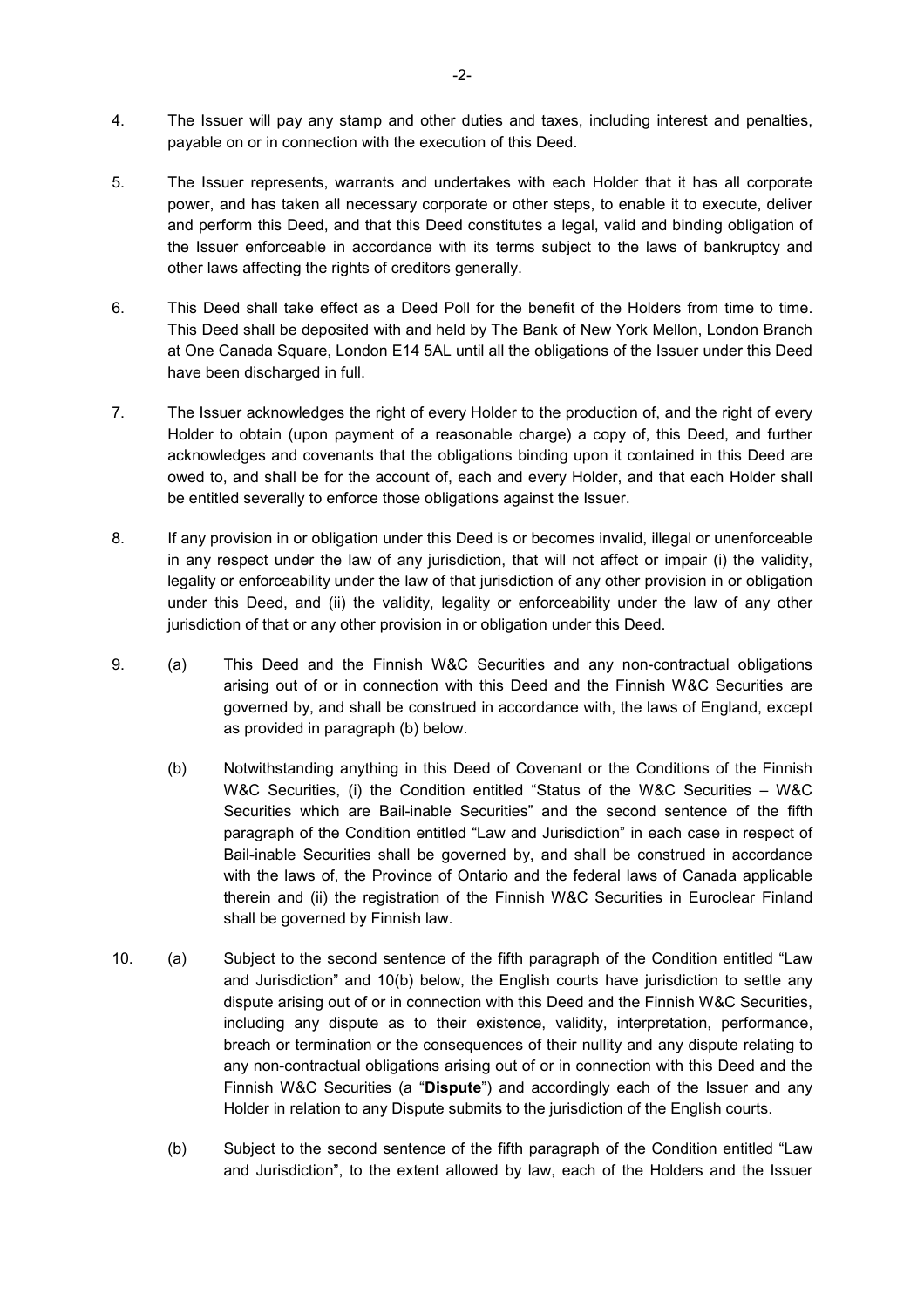- 4. The Issuer will pay any stamp and other duties and taxes, including interest and penalties, payable on or in connection with the execution of this Deed.
- 5. The Issuer represents, warrants and undertakes with each Holder that it has all corporate power, and has taken all necessary corporate or other steps, to enable it to execute, deliver and perform this Deed, and that this Deed constitutes a legal, valid and binding obligation of the Issuer enforceable in accordance with its terms subject to the laws of bankruptcy and other laws affecting the rights of creditors generally.
- 6. This Deed shall take effect as a Deed Poll for the benefit of the Holders from time to time. This Deed shall be deposited with and held by The Bank of New York Mellon, London Branch at One Canada Square, London E14 5AL until all the obligations of the Issuer under this Deed have been discharged in full.
- 7. The Issuer acknowledges the right of every Holder to the production of, and the right of every Holder to obtain (upon payment of a reasonable charge) a copy of, this Deed, and further acknowledges and covenants that the obligations binding upon it contained in this Deed are owed to, and shall be for the account of, each and every Holder, and that each Holder shall be entitled severally to enforce those obligations against the Issuer.
- 8. If any provision in or obligation under this Deed is or becomes invalid, illegal or unenforceable in any respect under the law of any jurisdiction, that will not affect or impair (i) the validity, legality or enforceability under the law of that jurisdiction of any other provision in or obligation under this Deed, and (ii) the validity, legality or enforceability under the law of any other jurisdiction of that or any other provision in or obligation under this Deed.
- 9. (a) This Deed and the Finnish W&C Securities and any non-contractual obligations arising out of or in connection with this Deed and the Finnish W&C Securities are governed by, and shall be construed in accordance with, the laws of England, except as provided in paragraph (b) below.
	- (b) Notwithstanding anything in this Deed of Covenant or the Conditions of the Finnish W&C Securities, (i) the Condition entitled "Status of the W&C Securities – W&C Securities which are Bail-inable Securities" and the second sentence of the fifth paragraph of the Condition entitled "Law and Jurisdiction" in each case in respect of Bail-inable Securities shall be governed by, and shall be construed in accordance with the laws of, the Province of Ontario and the federal laws of Canada applicable therein and (ii) the registration of the Finnish W&C Securities in Euroclear Finland shall be governed by Finnish law.
- 10. (a) Subject to the second sentence of the fifth paragraph of the Condition entitled "Law and Jurisdiction" and 10(b) below, the English courts have jurisdiction to settle any dispute arising out of or in connection with this Deed and the Finnish W&C Securities, including any dispute as to their existence, validity, interpretation, performance, breach or termination or the consequences of their nullity and any dispute relating to any non-contractual obligations arising out of or in connection with this Deed and the Finnish W&C Securities (a "**Dispute**") and accordingly each of the Issuer and any Holder in relation to any Dispute submits to the jurisdiction of the English courts.
	- (b) Subject to the second sentence of the fifth paragraph of the Condition entitled "Law and Jurisdiction", to the extent allowed by law, each of the Holders and the Issuer